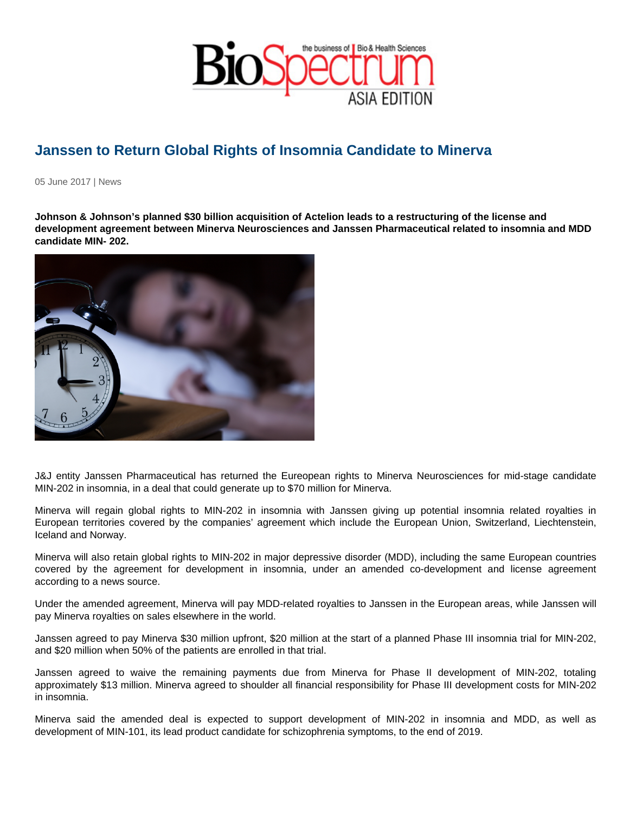## Janssen to Return Global Rights of Insomnia Candidate to Minerva

05 June 2017 | News

Johnson & Johnson's planned \$30 billion acquisition of Actelion leads to a restructuring of the license and development agreement between Minerva Neurosciences and Janssen Pharmaceutical related to insomnia and MDD candidate MIN- 202.

J&J entity Janssen Pharmaceutical has returned the Eureopean rights to Minerva Neurosciences for mid-stage candidate MIN-202 in insomnia, in a deal that could generate up to \$70 million for Minerva.

Minerva will regain global rights to MIN-202 in insomnia with Janssen giving up potential insomnia related royalties in European territories covered by the companies' agreement which include the European Union, Switzerland, Liechtenstein, Iceland and Norway.

Minerva will also retain global rights to MIN-202 in major depressive disorder (MDD), including the same European countries covered by the agreement for development in insomnia, under an amended co-development and license agreement according to a news source.

Under the amended agreement, Minerva will pay MDD-related royalties to Janssen in the European areas, while Janssen will pay Minerva royalties on sales elsewhere in the world.

Janssen agreed to pay Minerva \$30 million upfront, \$20 million at the start of a planned Phase III insomnia trial for MIN-202, and \$20 million when 50% of the patients are enrolled in that trial.

Janssen agreed to waive the remaining payments due from Minerva for Phase II development of MIN-202, totaling approximately \$13 million. Minerva agreed to shoulder all financial responsibility for Phase III development costs for MIN-202 in insomnia.

Minerva said the amended deal is expected to support development of MIN-202 in insomnia and MDD, as well as development of MIN-101, its lead product candidate for schizophrenia symptoms, to the end of 2019.